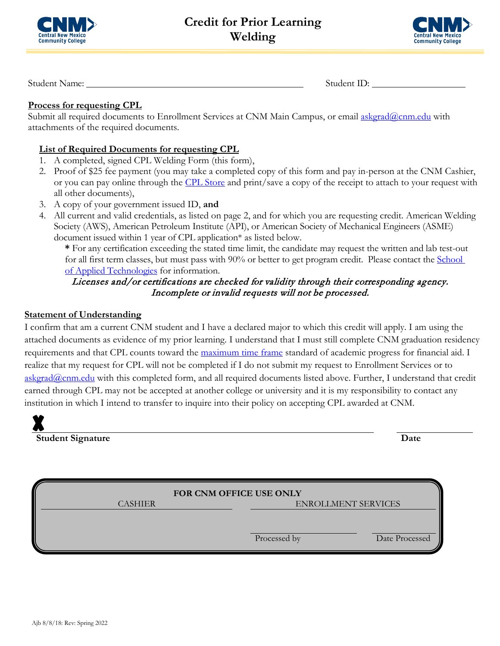



Student Name: Student ID:

## **Process for requesting CPL**

Submit all required documents to Enrollment Services at CNM Main Campus, or email [askgrad@cnm.edu](mailto:askgrad@cnm.edu) with attachments of the required documents.

## **List of Required Documents for requesting CPL**

- 1. A completed, signed CPL Welding Form (this form),
- 2. Proof of \$25 fee payment (you may take a completed copy of this form and pay in-person at the CNM Cashier, or you can pay online through the [CPL Store](https://secure.touchnet.com/C20016_ustores/web/store_main.jsp?STOREID=2&FROMQRCODE=true) and print/save a copy of the receipt to attach to your request with all other documents),
- 3. A copy of your government issued ID, **and**
- 4. All current and valid credentials, as listed on page 2, and for which you are requesting credit. American Welding Society (AWS), American Petroleum Institute (API), or American Society of Mechanical Engineers (ASME) document issued within 1 year of CPL application\* as listed below.

**\*** For any certification exceeding the stated time limit, the candidate may request the written and lab test-out for all first term classes, but must pass with 90% or better to get program credit. Please contact the School [of Applied Technologies](https://www.cnm.edu/programs-of-study/applied-technologies) for information.

# Licenses and/or certifications are checked for validity through their corresponding agency. Incomplete or invalid requests will not be processed.

#### **Statement of Understanding**

I confirm that am a current CNM student and I have a declared major to which this credit will apply. I am using the attached documents as evidence of my prior learning. I understand that I must still complete CNM graduation residency requirements and that CPL counts toward the [maximum time frame](https://www.cnm.edu/depts/financial-aid/requirements/sap) standard of academic progress for financial aid. I realize that my request for CPL will not be completed if I do not submit my request to Enrollment Services or to [askgrad@cnm.edu](mailto:askgrad@cnm.edu) with this completed form, and all required documents listed above. Further, I understand that credit earned through CPL may not be accepted at another college or university and it is my responsibility to contact any institution in which I intend to transfer to inquire into their policy on accepting CPL awarded at CNM.

**Student Signature Date**

| FOR CNM OFFICE USE ONLY |                            |                |  |  |
|-------------------------|----------------------------|----------------|--|--|
| <b>CASHIER</b>          | <b>ENROLLMENT SERVICES</b> |                |  |  |
|                         |                            |                |  |  |
|                         | Processed by               | Date Processed |  |  |